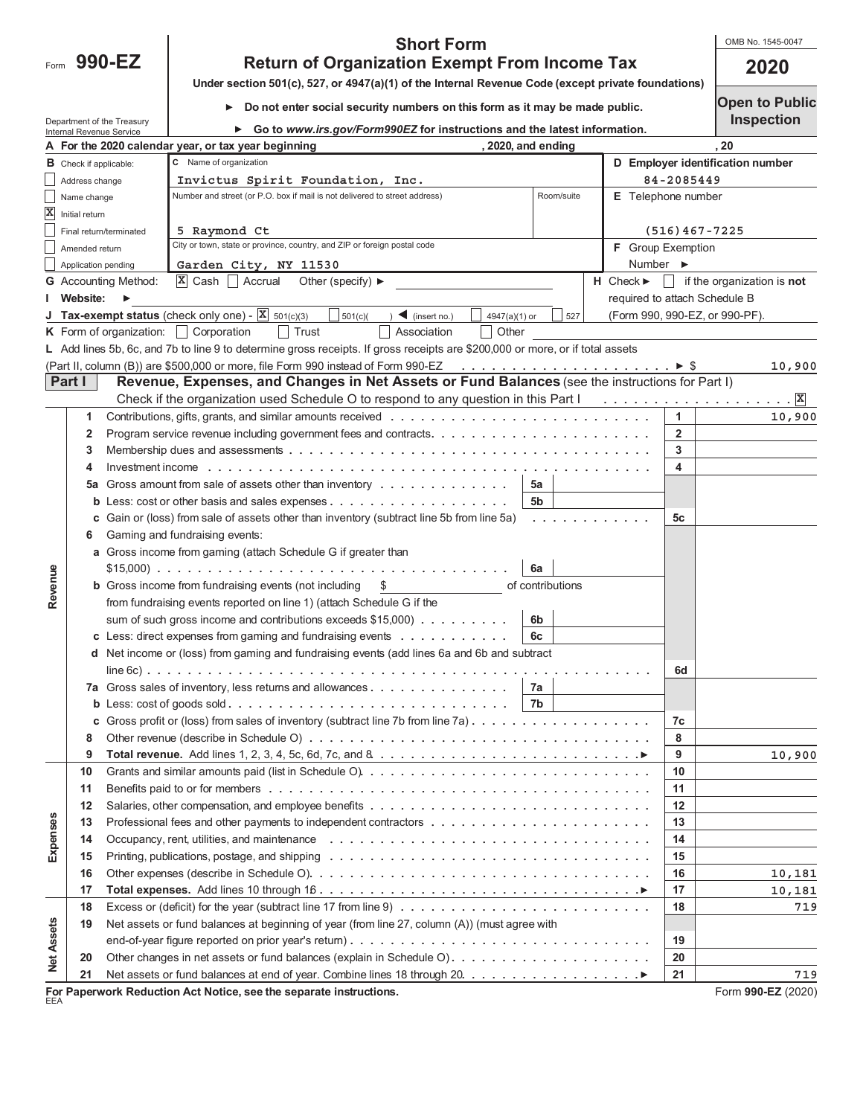Form 990-EZ

## **990-EZ 2020 Return of Organization Exempt From Income Tax Short Form**

OMB No. 1545-0047

| Under section 501(c), 527, or 4947(a)(1) of the Internal Revenue Code (except private foundations) $\Box$ |  |
|-----------------------------------------------------------------------------------------------------------|--|

**Do not enter social security numbers on this form as it may be made public.**

**Open to Public Inspection**

|                                      | Internal Revenue Service                                                | Department of the Treasury                                                                        | Go to www.irs.gov/Form990EZ for instructions and the latest information.                                                                       |  |                                 |                                  | <b>INSPECTION</b>                                |  |
|--------------------------------------|-------------------------------------------------------------------------|---------------------------------------------------------------------------------------------------|------------------------------------------------------------------------------------------------------------------------------------------------|--|---------------------------------|----------------------------------|--------------------------------------------------|--|
|                                      | A For the 2020 calendar year, or tax year beginning<br>2020, and ending |                                                                                                   |                                                                                                                                                |  | 20                              |                                  |                                                  |  |
|                                      | <b>B</b> Check if applicable:                                           |                                                                                                   | C Name of organization                                                                                                                         |  |                                 | D Employer identification number |                                                  |  |
|                                      | Address change                                                          |                                                                                                   | Invictus Spirit Foundation, Inc.                                                                                                               |  |                                 | 84-2085449                       |                                                  |  |
|                                      | Name change                                                             |                                                                                                   | Room/suite<br>Number and street (or P.O. box if mail is not delivered to street address)                                                       |  | <b>E</b> Telephone number       |                                  |                                                  |  |
|                                      | $\overline{\mathbf{X}}$ Initial return                                  |                                                                                                   |                                                                                                                                                |  |                                 |                                  |                                                  |  |
|                                      |                                                                         | Final return/terminated                                                                           | 5 Raymond Ct                                                                                                                                   |  |                                 | $(516) 467 - 7225$               |                                                  |  |
|                                      | Amended return                                                          |                                                                                                   | City or town, state or province, country, and ZIP or foreign postal code                                                                       |  | F Group Exemption               |                                  |                                                  |  |
|                                      | Application pending                                                     |                                                                                                   | Garden City, NY 11530                                                                                                                          |  | Number ▶                        |                                  |                                                  |  |
|                                      |                                                                         | <b>G</b> Accounting Method:                                                                       | $ X $ Cash     Accrual<br>Other (specify) $\blacktriangleright$                                                                                |  | $H$ Check $\blacktriangleright$ |                                  | $\blacksquare$ if the organization is <b>not</b> |  |
|                                      | I Website:                                                              |                                                                                                   |                                                                                                                                                |  | required to attach Schedule B   |                                  |                                                  |  |
|                                      |                                                                         |                                                                                                   | <b>J</b> Tax-exempt status (check only one) - $\boxed{\mathbf{X}}$ 501(c)(3)<br>$\vert$ 501(c)(<br>$\sum$ (insert no.)<br>4947(a)(1) or<br>527 |  | (Form 990, 990-EZ, or 990-PF).  |                                  |                                                  |  |
|                                      |                                                                         |                                                                                                   | K Form of organization: $\vert \vert$ Corporation<br>$\vert$ Trust<br>Association<br>$\vert$ Other                                             |  |                                 |                                  |                                                  |  |
|                                      |                                                                         |                                                                                                   | L Add lines 5b, 6c, and 7b to line 9 to determine gross receipts. If gross receipts are \$200,000 or more, or if total assets                  |  |                                 |                                  |                                                  |  |
|                                      |                                                                         |                                                                                                   |                                                                                                                                                |  |                                 |                                  | 10,900                                           |  |
|                                      | Part I                                                                  |                                                                                                   | Revenue, Expenses, and Changes in Net Assets or Fund Balances (see the instructions for Part I)                                                |  |                                 |                                  |                                                  |  |
|                                      |                                                                         |                                                                                                   |                                                                                                                                                |  |                                 |                                  |                                                  |  |
|                                      | 1                                                                       |                                                                                                   |                                                                                                                                                |  |                                 | 1                                | 10,900                                           |  |
|                                      | 2                                                                       |                                                                                                   |                                                                                                                                                |  |                                 | $\overline{2}$                   |                                                  |  |
|                                      | 3                                                                       |                                                                                                   |                                                                                                                                                |  |                                 | 3                                |                                                  |  |
|                                      | 4                                                                       |                                                                                                   |                                                                                                                                                |  |                                 | 4                                |                                                  |  |
|                                      | 5a                                                                      |                                                                                                   | Gross amount from sale of assets other than inventory $\dots \dots \dots \dots$<br>5a                                                          |  |                                 |                                  |                                                  |  |
|                                      | b                                                                       |                                                                                                   | 5b                                                                                                                                             |  |                                 |                                  |                                                  |  |
|                                      |                                                                         | Gain or (loss) from sale of assets other than inventory (subtract line 5b from line 5a)<br>.<br>c |                                                                                                                                                |  |                                 |                                  |                                                  |  |
|                                      | 6                                                                       | Gaming and fundraising events:                                                                    |                                                                                                                                                |  |                                 |                                  |                                                  |  |
|                                      |                                                                         |                                                                                                   | a Gross income from gaming (attach Schedule G if greater than                                                                                  |  |                                 |                                  |                                                  |  |
|                                      |                                                                         |                                                                                                   | 6a                                                                                                                                             |  |                                 |                                  |                                                  |  |
| Revenue                              |                                                                         |                                                                                                   | <b>b</b> Gross income from fundraising events (not including \$<br>of contributions                                                            |  |                                 |                                  |                                                  |  |
|                                      |                                                                         |                                                                                                   | from fundraising events reported on line 1) (attach Schedule G if the                                                                          |  |                                 |                                  |                                                  |  |
|                                      |                                                                         |                                                                                                   | sum of such gross income and contributions exceeds $$15,000$ )<br>6b                                                                           |  |                                 |                                  |                                                  |  |
|                                      |                                                                         |                                                                                                   | c Less: direct expenses from gaming and fundraising events<br>6c                                                                               |  |                                 |                                  |                                                  |  |
|                                      |                                                                         |                                                                                                   | d Net income or (loss) from gaming and fundraising events (add lines 6a and 6b and subtract                                                    |  |                                 |                                  |                                                  |  |
|                                      |                                                                         |                                                                                                   |                                                                                                                                                |  |                                 | 6d                               |                                                  |  |
|                                      |                                                                         |                                                                                                   | 7a Gross sales of inventory, less returns and allowances. $\dots \dots \dots \dots \dots$<br>7a                                                |  |                                 |                                  |                                                  |  |
|                                      |                                                                         |                                                                                                   | 7b<br>b Less: cost of goods sold                                                                                                               |  |                                 |                                  |                                                  |  |
|                                      |                                                                         |                                                                                                   | c Gross profit or (loss) from sales of inventory (subtract line 7b from line 7a).                                                              |  |                                 | 7c                               |                                                  |  |
|                                      | 8                                                                       |                                                                                                   |                                                                                                                                                |  |                                 | 8                                |                                                  |  |
|                                      | 9                                                                       |                                                                                                   | Total revenue. Add lines 1, 2, 3, 4, 5c, 6d, 7c, and 8 $\ldots \ldots \ldots \ldots \ldots \ldots \ldots \ldots \ldots$                        |  |                                 | 9                                | 10,900                                           |  |
|                                      | 10                                                                      |                                                                                                   |                                                                                                                                                |  |                                 | 10                               |                                                  |  |
|                                      | 11                                                                      |                                                                                                   |                                                                                                                                                |  |                                 | 11                               |                                                  |  |
|                                      | 12                                                                      |                                                                                                   |                                                                                                                                                |  |                                 | 12                               |                                                  |  |
|                                      | 13                                                                      |                                                                                                   |                                                                                                                                                |  |                                 | 13                               |                                                  |  |
| <b>Expenses</b><br><b>Net Assets</b> | 14                                                                      |                                                                                                   |                                                                                                                                                |  |                                 | 14                               |                                                  |  |
|                                      | 15                                                                      |                                                                                                   | Printing, publications, postage, and shipping $\dots \dots \dots \dots \dots \dots \dots \dots \dots \dots \dots \dots \dots \dots$            |  |                                 | 15                               |                                                  |  |
|                                      | 16                                                                      |                                                                                                   |                                                                                                                                                |  |                                 | 16                               | 10,181                                           |  |
|                                      | 17                                                                      |                                                                                                   |                                                                                                                                                |  |                                 | 17                               | 10,181                                           |  |
|                                      | 18                                                                      |                                                                                                   |                                                                                                                                                |  |                                 | 18                               | 719                                              |  |
|                                      | 19                                                                      |                                                                                                   | Net assets or fund balances at beginning of year (from line 27, column (A)) (must agree with                                                   |  |                                 |                                  |                                                  |  |
|                                      |                                                                         |                                                                                                   |                                                                                                                                                |  |                                 | 19                               |                                                  |  |
|                                      | 20                                                                      |                                                                                                   |                                                                                                                                                |  |                                 | 20                               |                                                  |  |
|                                      | 21                                                                      |                                                                                                   |                                                                                                                                                |  |                                 | 21                               | 719                                              |  |
| EEA                                  |                                                                         |                                                                                                   | For Paperwork Reduction Act Notice, see the separate instructions.                                                                             |  |                                 |                                  | Form 990-EZ (2020)                               |  |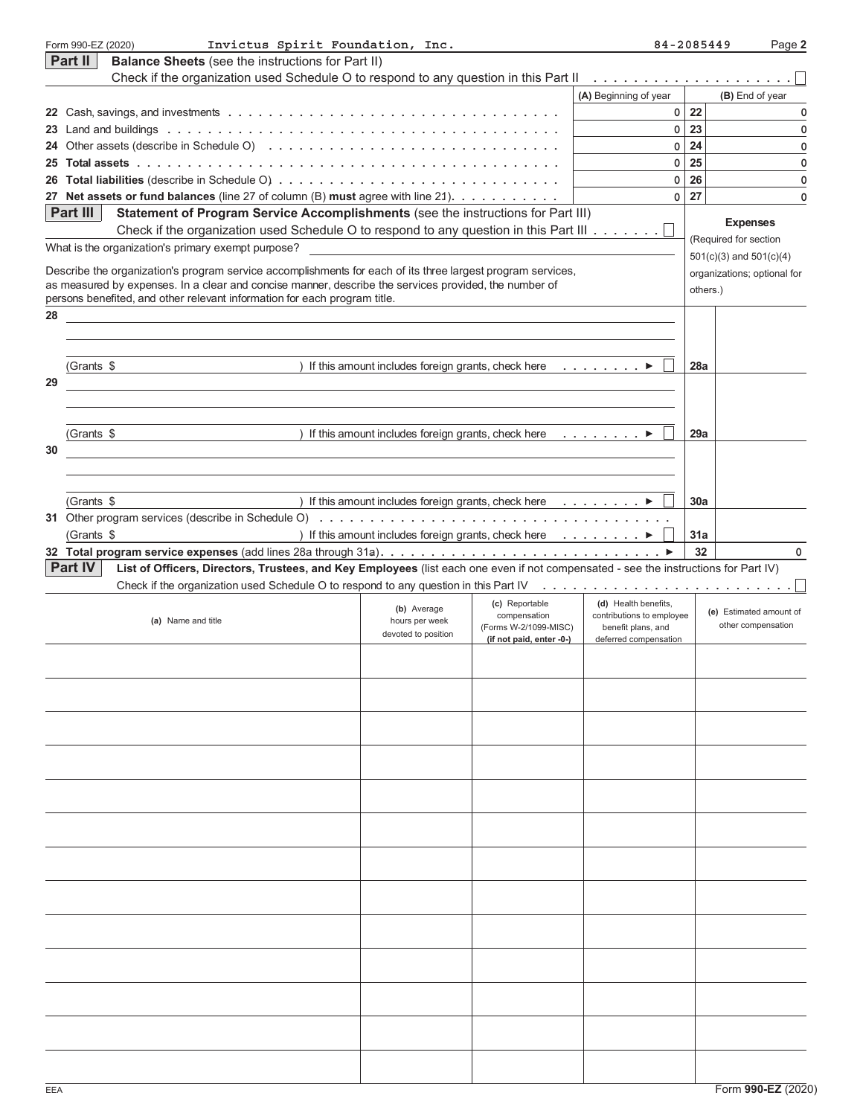|    | Form 990-EZ (2020)<br>Invictus Spirit Foundation, Inc.                                                                                                                                       |                                                                    |                                | 84-2085449                                        |          | Page 2                      |
|----|----------------------------------------------------------------------------------------------------------------------------------------------------------------------------------------------|--------------------------------------------------------------------|--------------------------------|---------------------------------------------------|----------|-----------------------------|
|    | Part II<br><b>Balance Sheets</b> (see the instructions for Part II)                                                                                                                          |                                                                    |                                |                                                   |          |                             |
|    | Check if the organization used Schedule O to respond to any question in this Part II                                                                                                         |                                                                    |                                |                                                   |          |                             |
|    |                                                                                                                                                                                              |                                                                    |                                | (A) Beginning of year                             |          | (B) End of year             |
|    |                                                                                                                                                                                              |                                                                    |                                |                                                   | $0$ 22   | 0                           |
|    |                                                                                                                                                                                              |                                                                    |                                | $\overline{0}$                                    | 23       | 0                           |
|    |                                                                                                                                                                                              |                                                                    |                                | $\circ$                                           | 24       | 0                           |
|    |                                                                                                                                                                                              |                                                                    |                                | $\overline{0}$                                    | 25       | 0                           |
|    |                                                                                                                                                                                              |                                                                    |                                | $\overline{0}$                                    | 26       | 0                           |
|    | 27 Net assets or fund balances (line 27 of column (B) must agree with line 21).                                                                                                              |                                                                    |                                | $\overline{0}$                                    | 27       | 0                           |
|    | <b>Part III</b><br>Statement of Program Service Accomplishments (see the instructions for Part III)<br>Check if the organization used Schedule O to respond to any question in this Part III |                                                                    |                                |                                                   |          | <b>Expenses</b>             |
|    | What is the organization's primary exempt purpose?                                                                                                                                           |                                                                    |                                |                                                   |          | (Required for section       |
|    |                                                                                                                                                                                              |                                                                    |                                |                                                   |          | $501(c)(3)$ and $501(c)(4)$ |
|    | Describe the organization's program service accomplishments for each of its three largest program services,                                                                                  |                                                                    |                                |                                                   |          | organizations; optional for |
|    | as measured by expenses. In a clear and concise manner, describe the services provided, the number of<br>persons benefited, and other relevant information for each program title.           |                                                                    |                                |                                                   | others.) |                             |
| 28 |                                                                                                                                                                                              |                                                                    |                                |                                                   |          |                             |
|    |                                                                                                                                                                                              |                                                                    |                                |                                                   |          |                             |
|    |                                                                                                                                                                                              |                                                                    |                                |                                                   |          |                             |
|    | (Grants \$                                                                                                                                                                                   | ) If this amount includes foreign grants, check here $\dots \dots$ |                                |                                                   | 28a      |                             |
| 29 |                                                                                                                                                                                              |                                                                    |                                |                                                   |          |                             |
|    |                                                                                                                                                                                              |                                                                    |                                |                                                   |          |                             |
|    |                                                                                                                                                                                              |                                                                    |                                |                                                   |          |                             |
|    | (Grants \$                                                                                                                                                                                   | ) If this amount includes foreign grants, check here $\dots \dots$ |                                |                                                   | 29a      |                             |
| 30 |                                                                                                                                                                                              |                                                                    |                                |                                                   |          |                             |
|    |                                                                                                                                                                                              |                                                                    |                                |                                                   |          |                             |
|    |                                                                                                                                                                                              |                                                                    |                                |                                                   |          |                             |
|    | (Grants \$                                                                                                                                                                                   | If this amount includes foreign grants, check here $\dots \dots$   |                                |                                                   | 30a      |                             |
|    |                                                                                                                                                                                              |                                                                    |                                |                                                   |          |                             |
|    | (Grants \$                                                                                                                                                                                   | ) If this amount includes foreign grants, check here ▶             |                                |                                                   | 31a      |                             |
|    |                                                                                                                                                                                              |                                                                    |                                |                                                   | 32       | 0                           |
|    | Part IV<br>List of Officers, Directors, Trustees, and Key Employees (list each one even if not compensated - see the instructions for Part IV)                                               |                                                                    |                                |                                                   |          |                             |
|    |                                                                                                                                                                                              |                                                                    |                                |                                                   |          |                             |
|    |                                                                                                                                                                                              | (b) Average                                                        | (c) Reportable<br>compensation | (d) Health benefits,<br>contributions to employee |          | (e) Estimated amount of     |
|    | (a) Name and title                                                                                                                                                                           | hours per week<br>devoted to position                              | (Forms W-2/1099-MISC)          | benefit plans, and                                |          | other compensation          |
|    |                                                                                                                                                                                              |                                                                    | (if not paid, enter -0-)       | deferred compensation                             |          |                             |
|    |                                                                                                                                                                                              |                                                                    |                                |                                                   |          |                             |
|    |                                                                                                                                                                                              |                                                                    |                                |                                                   |          |                             |
|    |                                                                                                                                                                                              |                                                                    |                                |                                                   |          |                             |
|    |                                                                                                                                                                                              |                                                                    |                                |                                                   |          |                             |
|    |                                                                                                                                                                                              |                                                                    |                                |                                                   |          |                             |
|    |                                                                                                                                                                                              |                                                                    |                                |                                                   |          |                             |
|    |                                                                                                                                                                                              |                                                                    |                                |                                                   |          |                             |
|    |                                                                                                                                                                                              |                                                                    |                                |                                                   |          |                             |
|    |                                                                                                                                                                                              |                                                                    |                                |                                                   |          |                             |
|    |                                                                                                                                                                                              |                                                                    |                                |                                                   |          |                             |
|    |                                                                                                                                                                                              |                                                                    |                                |                                                   |          |                             |
|    |                                                                                                                                                                                              |                                                                    |                                |                                                   |          |                             |
|    |                                                                                                                                                                                              |                                                                    |                                |                                                   |          |                             |
|    |                                                                                                                                                                                              |                                                                    |                                |                                                   |          |                             |
|    |                                                                                                                                                                                              |                                                                    |                                |                                                   |          |                             |
|    |                                                                                                                                                                                              |                                                                    |                                |                                                   |          |                             |
|    |                                                                                                                                                                                              |                                                                    |                                |                                                   |          |                             |
|    |                                                                                                                                                                                              |                                                                    |                                |                                                   |          |                             |
|    |                                                                                                                                                                                              |                                                                    |                                |                                                   |          |                             |
|    |                                                                                                                                                                                              |                                                                    |                                |                                                   |          |                             |
|    |                                                                                                                                                                                              |                                                                    |                                |                                                   |          |                             |
|    |                                                                                                                                                                                              |                                                                    |                                |                                                   |          |                             |
|    |                                                                                                                                                                                              |                                                                    |                                |                                                   |          |                             |
|    |                                                                                                                                                                                              |                                                                    |                                |                                                   |          |                             |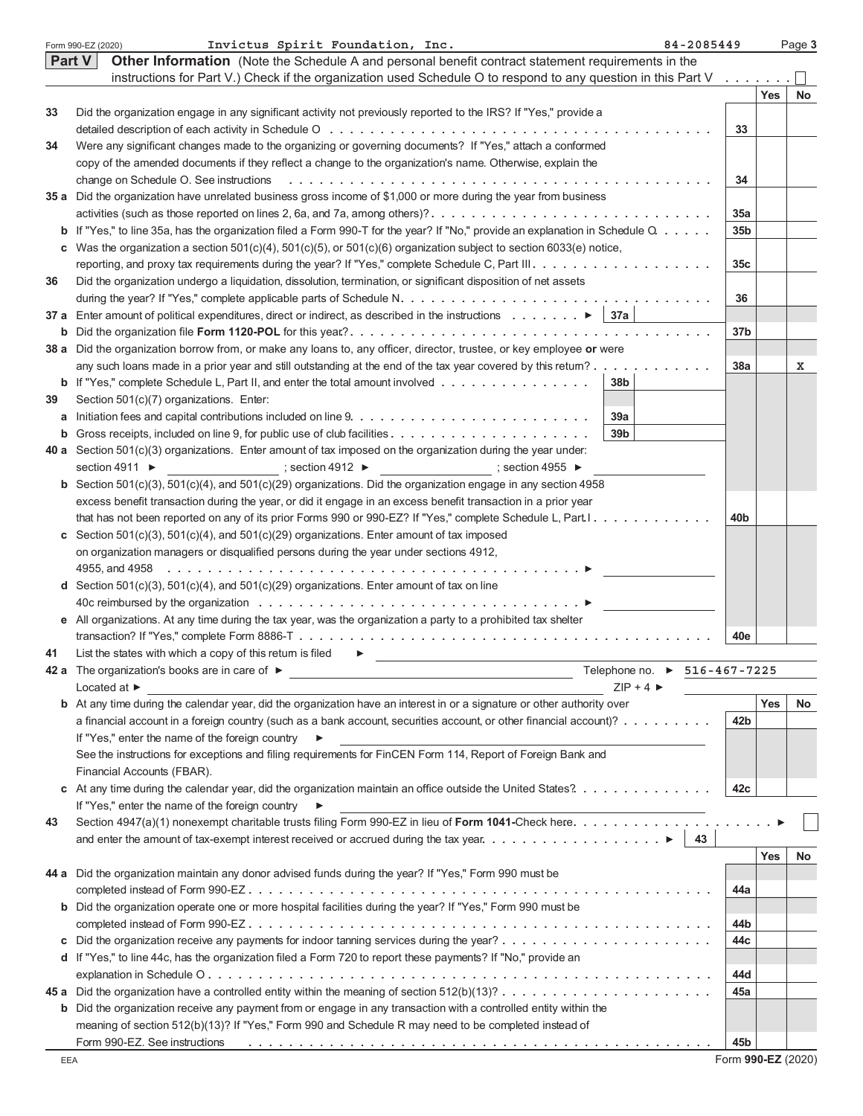|    | Invictus Spirit Foundation, Inc.<br>84-2085449<br>Form 990-EZ (2020)                                                                                                                                                           |                 |     | Page 3 |  |  |
|----|--------------------------------------------------------------------------------------------------------------------------------------------------------------------------------------------------------------------------------|-----------------|-----|--------|--|--|
|    | Other Information (Note the Schedule A and personal benefit contract statement requirements in the<br><b>Part V</b>                                                                                                            |                 |     |        |  |  |
|    | instructions for Part V.) Check if the organization used Schedule O to respond to any question in this Part V                                                                                                                  | 1.1.1.1.1       |     |        |  |  |
|    |                                                                                                                                                                                                                                |                 | Yes | No     |  |  |
| 33 | Did the organization engage in any significant activity not previously reported to the IRS? If "Yes," provide a                                                                                                                |                 |     |        |  |  |
|    |                                                                                                                                                                                                                                | 33              |     |        |  |  |
| 34 | Were any significant changes made to the organizing or governing documents? If "Yes," attach a conformed                                                                                                                       |                 |     |        |  |  |
|    | copy of the amended documents if they reflect a change to the organization's name. Otherwise, explain the                                                                                                                      |                 |     |        |  |  |
|    |                                                                                                                                                                                                                                |                 |     |        |  |  |
|    | 35 a Did the organization have unrelated business gross income of \$1,000 or more during the year from business                                                                                                                | 34              |     |        |  |  |
|    | activities (such as those reported on lines 2, 6a, and 7a, among others)?                                                                                                                                                      | 35a             |     |        |  |  |
|    |                                                                                                                                                                                                                                |                 |     |        |  |  |
|    | <b>b</b> If "Yes," to line 35a, has the organization filed a Form 990-T for the year? If "No," provide an explanation in Schedule $Q_1, \ldots, Q_n$                                                                           | 35 <sub>b</sub> |     |        |  |  |
|    | c Was the organization a section $501(c)(4)$ , $501(c)(5)$ , or $501(c)(6)$ organization subject to section 6033(e) notice,                                                                                                    |                 |     |        |  |  |
|    |                                                                                                                                                                                                                                | 35 <sub>c</sub> |     |        |  |  |
| 36 | Did the organization undergo a liquidation, dissolution, termination, or significant disposition of net assets                                                                                                                 |                 |     |        |  |  |
|    |                                                                                                                                                                                                                                | 36              |     |        |  |  |
|    | 37 a Enter amount of political expenditures, direct or indirect, as described in the instructions $\blacktriangleright$ 37a                                                                                                    |                 |     |        |  |  |
|    |                                                                                                                                                                                                                                | 37 <sub>b</sub> |     |        |  |  |
|    | 38 a Did the organization borrow from, or make any loans to, any officer, director, trustee, or key employee or were                                                                                                           |                 |     |        |  |  |
|    | any such loans made in a prior year and still outstanding at the end of the tax year covered by this retum?                                                                                                                    | 38a             |     | х      |  |  |
|    | <b>b</b> If "Yes," complete Schedule L, Part II, and enter the total amount involved<br>38b                                                                                                                                    |                 |     |        |  |  |
| 39 | Section 501(c)(7) organizations. Enter:                                                                                                                                                                                        |                 |     |        |  |  |
|    | 39a                                                                                                                                                                                                                            |                 |     |        |  |  |
|    | 39 <sub>b</sub>                                                                                                                                                                                                                |                 |     |        |  |  |
| b  |                                                                                                                                                                                                                                |                 |     |        |  |  |
|    | 40 a Section $501(c)(3)$ organizations. Enter amount of tax imposed on the organization during the year under:                                                                                                                 |                 |     |        |  |  |
|    | ; section 4912 ▶ (39) $\rightarrow$ (39) $\rightarrow$ (39) $\rightarrow$ (39) $\rightarrow$<br>section 4911 $\blacktriangleright$                                                                                             |                 |     |        |  |  |
|    | <b>b</b> Section 501(c)(3), 501(c)(4), and 501(c)(29) organizations. Did the organization engage in any section 4958                                                                                                           |                 |     |        |  |  |
|    | excess benefit transaction during the year, or did it engage in an excess benefit transaction in a prior year                                                                                                                  |                 |     |        |  |  |
|    | that has not been reported on any of its prior Forms 990 or 990-EZ? If "Yes," complete Schedule L, Part. I.                                                                                                                    | 40 <sub>b</sub> |     |        |  |  |
|    | c Section 501(c)(3), 501(c)(4), and 501(c)(29) organizations. Enter amount of tax imposed                                                                                                                                      |                 |     |        |  |  |
|    | on organization managers or disqualified persons during the year under sections 4912,                                                                                                                                          |                 |     |        |  |  |
|    |                                                                                                                                                                                                                                |                 |     |        |  |  |
|    | <b>d</b> Section 501(c)(3), 501(c)(4), and 501(c)(29) organizations. Enter amount of tax on line                                                                                                                               |                 |     |        |  |  |
|    |                                                                                                                                                                                                                                |                 |     |        |  |  |
|    | e All organizations. At any time during the tax year, was the organization a party to a prohibited tax shelter                                                                                                                 |                 |     |        |  |  |
|    |                                                                                                                                                                                                                                | 40e             |     |        |  |  |
| 41 | List the states with which a copy of this return is filed<br>▶                                                                                                                                                                 |                 |     |        |  |  |
|    | Telephone no. ▶ 516-467-7225<br>42 a The organization's books are in care of ▶                                                                                                                                                 |                 |     |        |  |  |
|    | $ZIP + 4$<br>Located at $\blacktriangleright$                                                                                                                                                                                  |                 |     |        |  |  |
|    | <b>b</b> At any time during the calendar year, did the organization have an interest in or a signature or other authority over                                                                                                 |                 | Yes | No     |  |  |
|    |                                                                                                                                                                                                                                |                 |     |        |  |  |
|    | a financial account in a foreign country (such as a bank account, securities account, or other financial account)?                                                                                                             | 42b             |     |        |  |  |
|    | If "Yes," enter the name of the foreign country<br>▶                                                                                                                                                                           |                 |     |        |  |  |
|    | See the instructions for exceptions and filing requirements for FinCEN Form 114, Report of Foreign Bank and                                                                                                                    |                 |     |        |  |  |
|    | Financial Accounts (FBAR).                                                                                                                                                                                                     |                 |     |        |  |  |
|    | c At any time during the calendar year, did the organization maintain an office outside the United States?                                                                                                                     | 42c             |     |        |  |  |
|    | If "Yes," enter the name of the foreign country ▶                                                                                                                                                                              |                 |     |        |  |  |
| 43 | Section 4947(a)(1) nonexempt charitable trusts filing Form 990-EZ in lieu of Form 1041-Check here.                                                                                                                             |                 |     |        |  |  |
|    | 43                                                                                                                                                                                                                             |                 |     |        |  |  |
|    |                                                                                                                                                                                                                                |                 | Yes | No     |  |  |
|    | 44 a Did the organization maintain any donor advised funds during the year? If "Yes," Form 990 must be                                                                                                                         |                 |     |        |  |  |
|    |                                                                                                                                                                                                                                | 44a             |     |        |  |  |
| b  | Did the organization operate one or more hospital facilities during the year? If "Yes," Form 990 must be                                                                                                                       |                 |     |        |  |  |
|    |                                                                                                                                                                                                                                |                 |     |        |  |  |
|    |                                                                                                                                                                                                                                | 44b             |     |        |  |  |
| C  |                                                                                                                                                                                                                                | 44с             |     |        |  |  |
|    | d If "Yes," to line 44c, has the organization filed a Form 720 to report these payments? If "No," provide an                                                                                                                   |                 |     |        |  |  |
|    |                                                                                                                                                                                                                                | 44d             |     |        |  |  |
|    |                                                                                                                                                                                                                                | 45a             |     |        |  |  |
| b  | Did the organization receive any payment from or engage in any transaction with a controlled entity within the                                                                                                                 |                 |     |        |  |  |
|    | meaning of section 512(b)(13)? If "Yes," Form 990 and Schedule R may need to be completed instead of                                                                                                                           |                 |     |        |  |  |
|    | Form 990-EZ. See instructions enterpretational contact to contact the content of the content of the content of the content of the content of the content of the content of the content of the content of the content of the co | 45b             |     |        |  |  |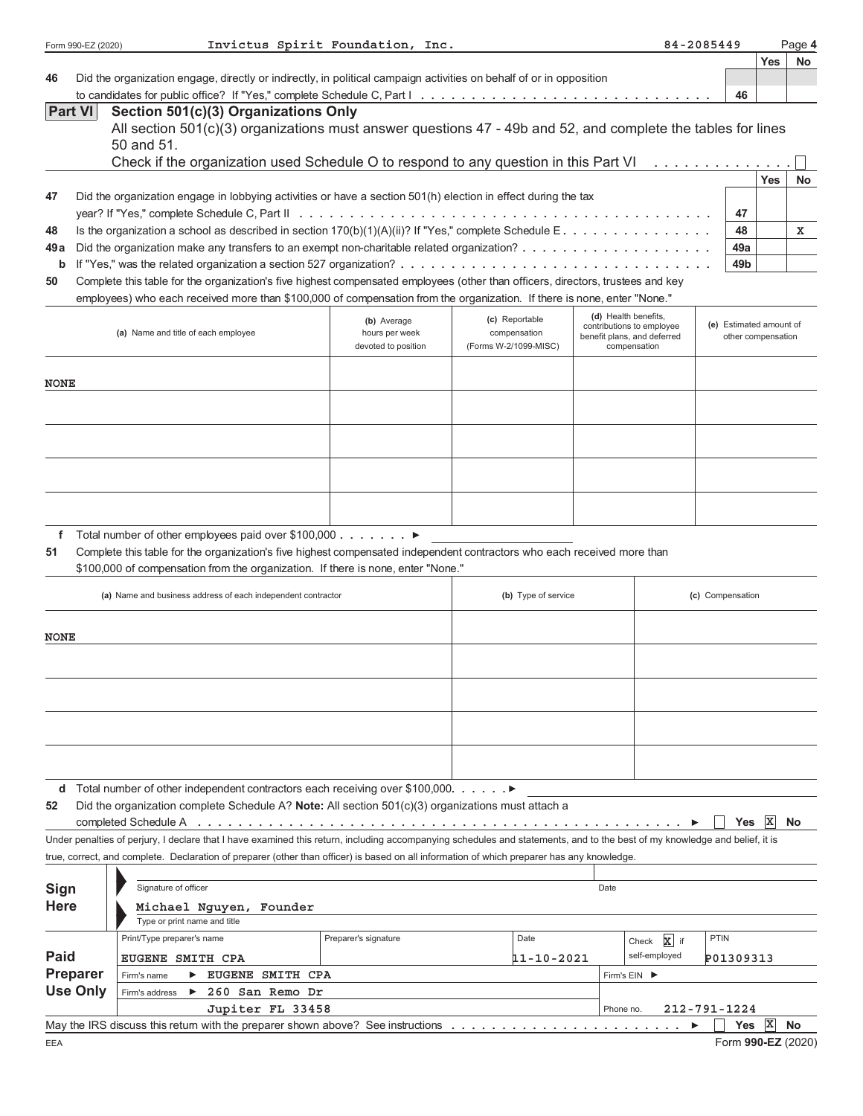|                | Form 990-EZ (2020)           |                                                                                                                                                                                                                                                            | Invictus Spirit Foundation, Inc. |                                |                                             |                                           | 84-2085449              |             | Page 4    |
|----------------|------------------------------|------------------------------------------------------------------------------------------------------------------------------------------------------------------------------------------------------------------------------------------------------------|----------------------------------|--------------------------------|---------------------------------------------|-------------------------------------------|-------------------------|-------------|-----------|
|                |                              |                                                                                                                                                                                                                                                            |                                  |                                |                                             |                                           |                         | <b>Yes</b>  | <b>No</b> |
| 46             |                              | Did the organization engage, directly or indirectly, in political campaign activities on behalf of or in opposition                                                                                                                                        |                                  |                                |                                             |                                           |                         |             |           |
| <b>Part VI</b> |                              | Section 501(c)(3) Organizations Only                                                                                                                                                                                                                       |                                  |                                |                                             |                                           | 46                      |             |           |
|                |                              | All section 501(c)(3) organizations must answer questions 47 - 49b and 52, and complete the tables for lines                                                                                                                                               |                                  |                                |                                             |                                           |                         |             |           |
|                |                              | 50 and 51.                                                                                                                                                                                                                                                 |                                  |                                |                                             |                                           |                         |             |           |
|                |                              | Check if the organization used Schedule O to respond to any question in this Part VI $\ldots \ldots \ldots \ldots$                                                                                                                                         |                                  |                                |                                             |                                           |                         |             |           |
|                |                              |                                                                                                                                                                                                                                                            |                                  |                                |                                             |                                           |                         | <b>Yes</b>  | No        |
| 47             |                              | Did the organization engage in lobbying activities or have a section 501(h) election in effect during the tax                                                                                                                                              |                                  |                                |                                             |                                           |                         |             |           |
|                |                              |                                                                                                                                                                                                                                                            |                                  |                                |                                             |                                           | 47                      |             |           |
| 48             |                              | Is the organization a school as described in section $170(b)(1)(A)(ii)?$ If "Yes," complete Schedule E.                                                                                                                                                    |                                  |                                |                                             |                                           | 48                      |             | x         |
| 49 a           |                              |                                                                                                                                                                                                                                                            |                                  |                                |                                             |                                           | 49а                     |             |           |
| b              |                              |                                                                                                                                                                                                                                                            |                                  |                                |                                             |                                           | 49b                     |             |           |
| 50             |                              | Complete this table for the organization's five highest compensated employees (other than officers, directors, trustees and key<br>employees) who each received more than \$100,000 of compensation from the organization. If there is none, enter "None." |                                  |                                |                                             |                                           |                         |             |           |
|                |                              |                                                                                                                                                                                                                                                            |                                  |                                | (d) Health benefits,                        |                                           |                         |             |           |
|                |                              | (a) Name and title of each employee                                                                                                                                                                                                                        | (b) Average<br>hours per week    | (c) Reportable<br>compensation | contributions to employee                   |                                           | (e) Estimated amount of |             |           |
|                |                              |                                                                                                                                                                                                                                                            | devoted to position              | (Forms W-2/1099-MISC)          | benefit plans, and deferred<br>compensation |                                           | other compensation      |             |           |
|                |                              |                                                                                                                                                                                                                                                            |                                  |                                |                                             |                                           |                         |             |           |
| <b>NONE</b>    |                              |                                                                                                                                                                                                                                                            |                                  |                                |                                             |                                           |                         |             |           |
|                |                              |                                                                                                                                                                                                                                                            |                                  |                                |                                             |                                           |                         |             |           |
|                |                              |                                                                                                                                                                                                                                                            |                                  |                                |                                             |                                           |                         |             |           |
|                |                              |                                                                                                                                                                                                                                                            |                                  |                                |                                             |                                           |                         |             |           |
|                |                              |                                                                                                                                                                                                                                                            |                                  |                                |                                             |                                           |                         |             |           |
|                |                              |                                                                                                                                                                                                                                                            |                                  |                                |                                             |                                           |                         |             |           |
|                |                              |                                                                                                                                                                                                                                                            |                                  |                                |                                             |                                           |                         |             |           |
|                |                              |                                                                                                                                                                                                                                                            |                                  |                                |                                             |                                           |                         |             |           |
| f              |                              | Total number of other employees paid over \$100,000 $\ldots \ldots$                                                                                                                                                                                        |                                  |                                |                                             |                                           |                         |             |           |
| 51             |                              | Complete this table for the organization's five highest compensated independent contractors who each received more than                                                                                                                                    |                                  |                                |                                             |                                           |                         |             |           |
|                |                              | \$100,000 of compensation from the organization. If there is none, enter "None."                                                                                                                                                                           |                                  |                                |                                             |                                           |                         |             |           |
|                |                              | (a) Name and business address of each independent contractor                                                                                                                                                                                               |                                  | (b) Type of service            |                                             |                                           | (c) Compensation        |             |           |
|                |                              |                                                                                                                                                                                                                                                            |                                  |                                |                                             |                                           |                         |             |           |
| <b>NONE</b>    |                              |                                                                                                                                                                                                                                                            |                                  |                                |                                             |                                           |                         |             |           |
|                |                              |                                                                                                                                                                                                                                                            |                                  |                                |                                             |                                           |                         |             |           |
|                |                              |                                                                                                                                                                                                                                                            |                                  |                                |                                             |                                           |                         |             |           |
|                |                              |                                                                                                                                                                                                                                                            |                                  |                                |                                             |                                           |                         |             |           |
|                |                              |                                                                                                                                                                                                                                                            |                                  |                                |                                             |                                           |                         |             |           |
|                |                              |                                                                                                                                                                                                                                                            |                                  |                                |                                             |                                           |                         |             |           |
|                |                              |                                                                                                                                                                                                                                                            |                                  |                                |                                             |                                           |                         |             |           |
|                |                              |                                                                                                                                                                                                                                                            |                                  |                                |                                             |                                           |                         |             |           |
|                |                              | <b>d</b> Total number of other independent contractors each receiving over \$100,000. $\blacktriangleright$                                                                                                                                                |                                  |                                |                                             |                                           |                         |             |           |
| 52             |                              | Did the organization complete Schedule A? Note: All section 501(c)(3) organizations must attach a                                                                                                                                                          |                                  |                                |                                             |                                           |                         |             |           |
|                |                              | completed Schedule A <i>international</i> completed Schedule A <i>international</i> international international completed Schedule A <i>international</i> international international completed Schedule A                                                 |                                  |                                |                                             |                                           | <b>Yes</b>              | X           | No        |
|                |                              | Under penalties of perjury, I declare that I have examined this return, including accompanying schedules and statements, and to the best of my knowledge and belief, it is                                                                                 |                                  |                                |                                             |                                           |                         |             |           |
|                |                              | true, correct, and complete. Declaration of preparer (other than officer) is based on all information of which preparer has any knowledge.                                                                                                                 |                                  |                                |                                             |                                           |                         |             |           |
|                |                              |                                                                                                                                                                                                                                                            |                                  |                                |                                             |                                           |                         |             |           |
| Sign           |                              | Signature of officer<br>Michael Nguyen, Founder                                                                                                                                                                                                            |                                  | Date                           |                                             |                                           |                         |             |           |
| <b>Here</b>    |                              |                                                                                                                                                                                                                                                            |                                  |                                |                                             |                                           |                         |             |           |
|                |                              | Type or print name and title<br>Print/Type preparer's name                                                                                                                                                                                                 | Preparer's signature             | Date                           |                                             |                                           | PTIN                    |             |           |
| <b>Paid</b>    |                              |                                                                                                                                                                                                                                                            |                                  |                                |                                             | $\mathbf{x}$ if<br>Check<br>self-employed |                         |             |           |
|                | EUGENE SMITH CPA<br>Preparer |                                                                                                                                                                                                                                                            |                                  | 11-10-2021                     |                                             |                                           | P01309313               |             |           |
|                | <b>Use Only</b>              | EUGENE SMITH CPA<br>Firm's name<br>260 San Remo Dr<br>$\blacktriangleright$<br>Firm's address                                                                                                                                                              |                                  |                                | Firm's EIN ▶                                |                                           |                         |             |           |
|                |                              | Jupiter FL 33458                                                                                                                                                                                                                                           |                                  |                                | Phone no.                                   |                                           | 212-791-1224            |             |           |
|                |                              | May the IRS discuss this return with the preparer shown above? See instructions $\dots \dots \dots \dots \dots \dots \dots$                                                                                                                                |                                  |                                |                                             |                                           | <b>Yes</b>              | $ {\bf x} $ | <b>No</b> |
| EEA            |                              |                                                                                                                                                                                                                                                            |                                  |                                |                                             |                                           | Form 990-EZ (2020)      |             |           |